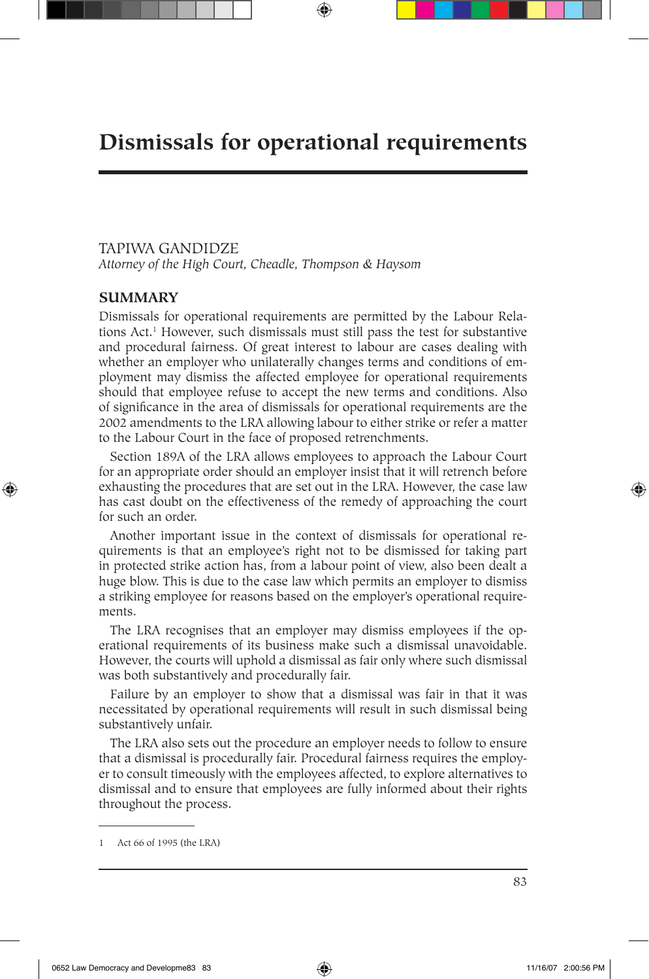# **Dismissals for operational requirements**

### TAPIWA GANDIDZE

*Attorney of the High Court, Cheadle, Thompson & Haysom*

## **SUMMARY**

⊕

Dismissals for operational requirements are permitted by the Labour Relations Act.1 However, such dismissals must still pass the test for substantive and procedural fairness. Of great interest to labour are cases dealing with whether an employer who unilaterally changes terms and conditions of employment may dismiss the affected employee for operational requirements should that employee refuse to accept the new terms and conditions. Also of significance in the area of dismissals for operational requirements are the 2002 amendments to the LRA allowing labour to either strike or refer a matter to the Labour Court in the face of proposed retrenchments.

Section 189A of the LRA allows employees to approach the Labour Court for an appropriate order should an employer insist that it will retrench before exhausting the procedures that are set out in the LRA. However, the case law has cast doubt on the effectiveness of the remedy of approaching the court for such an order.

Another important issue in the context of dismissals for operational requirements is that an employee's right not to be dismissed for taking part in protected strike action has, from a labour point of view, also been dealt a huge blow. This is due to the case law which permits an employer to dismiss a striking employee for reasons based on the employer's operational requirements.

The LRA recognises that an employer may dismiss employees if the operational requirements of its business make such a dismissal unavoidable. However, the courts will uphold a dismissal as fair only where such dismissal was both substantively and procedurally fair.

Failure by an employer to show that a dismissal was fair in that it was necessitated by operational requirements will result in such dismissal being substantively unfair.

The LRA also sets out the procedure an employer needs to follow to ensure that a dismissal is procedurally fair. Procedural fairness requires the employer to consult timeously with the employees affected, to explore alternatives to dismissal and to ensure that employees are fully informed about their rights throughout the process.

<sup>1</sup> Act 66 of 1995 (the LRA)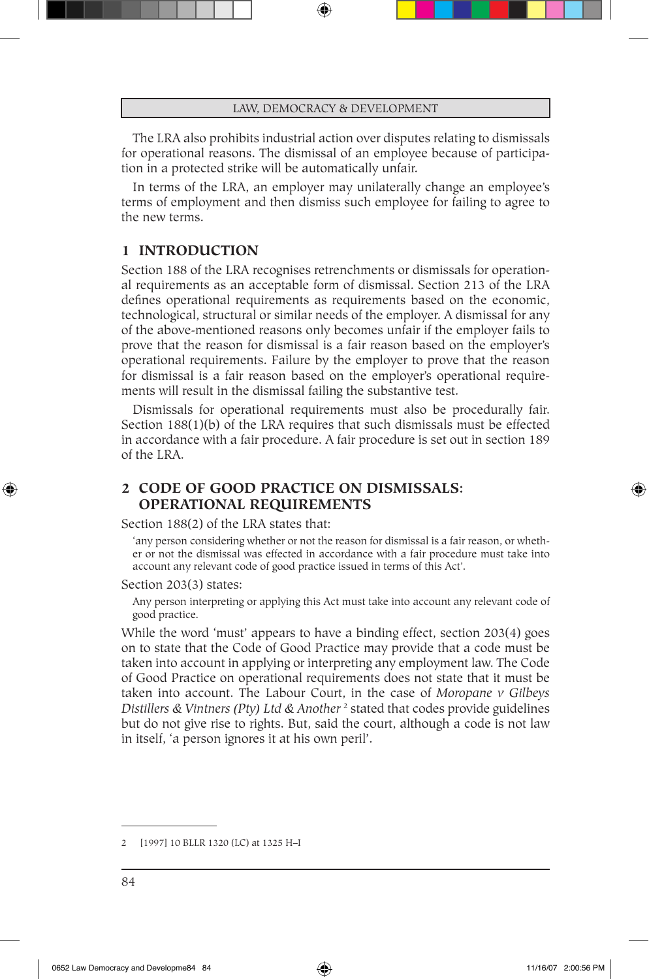The LRA also prohibits industrial action over disputes relating to dismissals for operational reasons. The dismissal of an employee because of participation in a protected strike will be automatically unfair.

In terms of the LRA, an employer may unilaterally change an employee's terms of employment and then dismiss such employee for failing to agree to the new terms.

### **1 INTRODUCTION**

Section 188 of the LRA recognises retrenchments or dismissals for operational requirements as an acceptable form of dismissal. Section 213 of the LRA defines operational requirements as requirements based on the economic, technological, structural or similar needs of the employer. A dismissal for any of the above-mentioned reasons only becomes unfair if the employer fails to prove that the reason for dismissal is a fair reason based on the employer's operational requirements. Failure by the employer to prove that the reason for dismissal is a fair reason based on the employer's operational requirements will result in the dismissal failing the substantive test.

Dismissals for operational requirements must also be procedurally fair. Section 188(1)(b) of the LRA requires that such dismissals must be effected in accordance with a fair procedure. A fair procedure is set out in section 189 of the LRA.

# **2 CODE OF GOOD PRACTICE ON DISMISSALS: OPERATIONAL REQUIREMENTS**

Section 188(2) of the LRA states that:

'any person considering whether or not the reason for dismissal is a fair reason, or whether or not the dismissal was effected in accordance with a fair procedure must take into account any relevant code of good practice issued in terms of this Act'*.* 

Section 203(3) states:

⊕

Any person interpreting or applying this Act must take into account any relevant code of good practice*.*

While the word 'must' appears to have a binding effect, section 203(4) goes on to state that the Code of Good Practice may provide that a code must be taken into account in applying or interpreting any employment law. The Code of Good Practice on operational requirements does not state that it must be taken into account. The Labour Court, in the case of *Moropane v Gilbeys*  Distillers & Vintners (Pty) Ltd & Another<sup>2</sup> stated that codes provide guidelines but do not give rise to rights. But, said the court, although a code is not law in itself, 'a person ignores it at his own peril'.

<sup>2 [1997] 10</sup> BLLR 1320 (LC) at 1325 H–I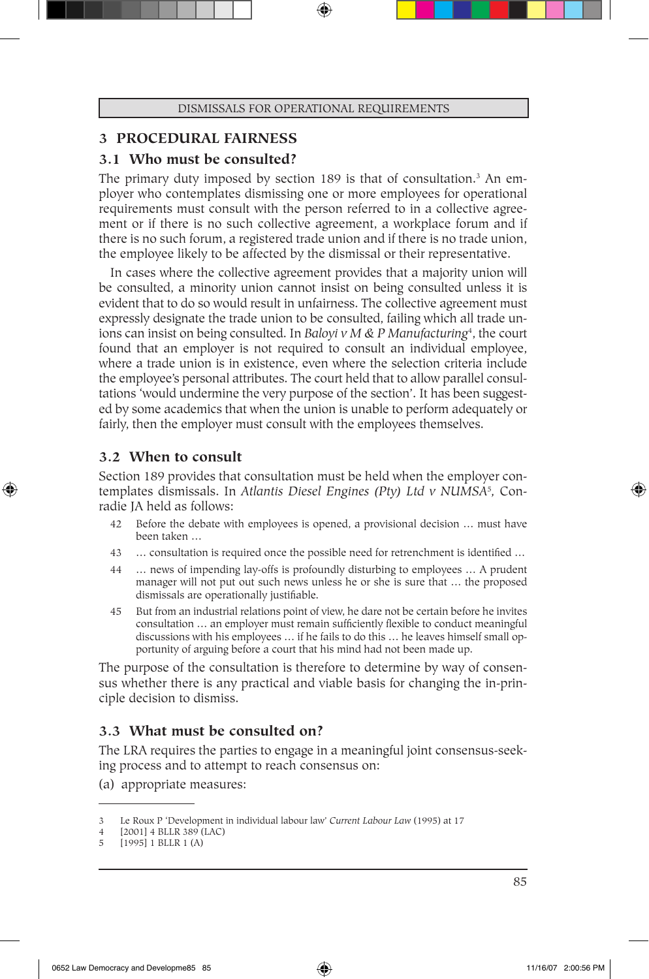# **3 PROCEDURAL FAIRNESS**

# **3.1 Who must be consulted?**

The primary duty imposed by section 189 is that of consultation.<sup>3</sup> An employer who contemplates dismissing one or more employees for operational requirements must consult with the person referred to in a collective agreement or if there is no such collective agreement, a workplace forum and if there is no such forum, a registered trade union and if there is no trade union, the employee likely to be affected by the dismissal or their representative.

In cases where the collective agreement provides that a majority union will be consulted, a minority union cannot insist on being consulted unless it is evident that to do so would result in unfairness. The collective agreement must expressly designate the trade union to be consulted, failing which all trade unions can insist on being consulted. In *Baloyi v M & P Manufacturing*<sup>4</sup> , the court found that an employer is not required to consult an individual employee, where a trade union is in existence, even where the selection criteria include the employee's personal attributes. The court held that to allow parallel consultations 'would undermine the very purpose of the section'. It has been suggested by some academics that when the union is unable to perform adequately or fairly, then the employer must consult with the employees themselves.

# **3.2 When to consult**

⊕

Section 189 provides that consultation must be held when the employer contemplates dismissals. In *Atlantis Diesel Engines (Pty) Ltd v NUMSA*<sup>5</sup> *,* Conradie JA held as follows:

- 42 Before the debate with employees is opened, a provisional decision … must have been taken …
- 43 … consultation is required once the possible need for retrenchment is identified …
- 44 … news of impending lay-offs is profoundly disturbing to employees … A prudent manager will not put out such news unless he or she is sure that … the proposed dismissals are operationally justifiable*.*
- 45 But from an industrial relations point of view, he dare not be certain before he invites consultation … an employer must remain sufficiently flexible to conduct meaningful discussions with his employees … if he fails to do this … he leaves himself small opportunity of arguing before a court that his mind had not been made up.

The purpose of the consultation is therefore to determine by way of consensus whether there is any practical and viable basis for changing the in-principle decision to dismiss.

# **3.3 What must be consulted on?**

The LRA requires the parties to engage in a meaningful joint consensus-seeking process and to attempt to reach consensus on:

(a) appropriate measures:

<sup>3</sup> Le Roux P 'Development in individual labour law' *Current Labour Law* (1995) at 17

<sup>4 [2001] 4</sup> BLLR 389 (LAC)

<sup>5 [1995] 1</sup> BLLR 1 (A)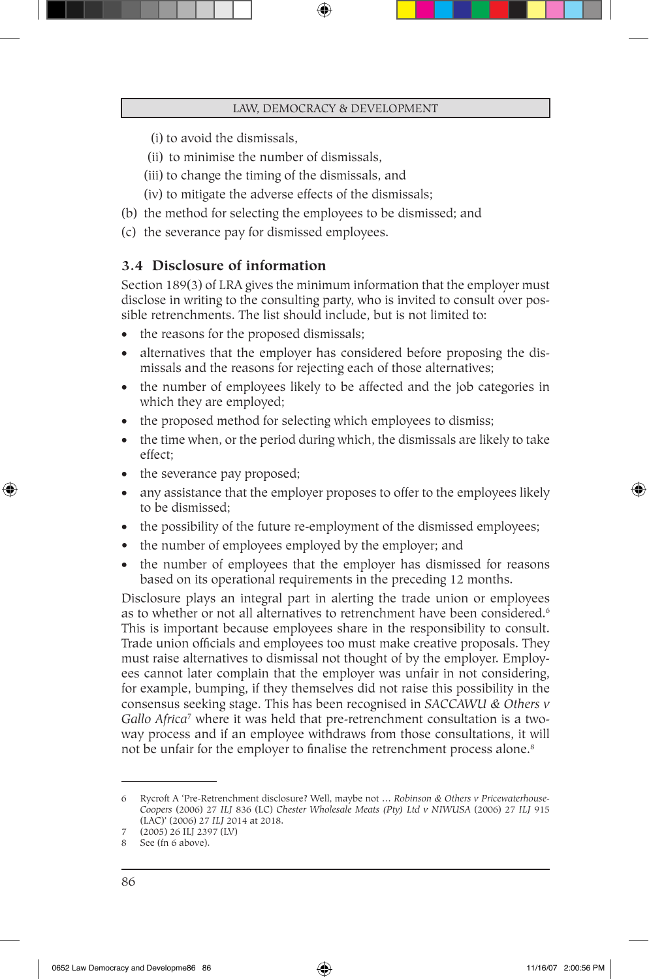- (i) to avoid the dismissals,
- (ii) to minimise the number of dismissals,
- (iii) to change the timing of the dismissals, and
- (iv) to mitigate the adverse effects of the dismissals;
- (b) the method for selecting the employees to be dismissed; and
- (c) the severance pay for dismissed employees.

## **3.4 Disclosure of information**

Section 189(3) of LRA gives the minimum information that the employer must disclose in writing to the consulting party, who is invited to consult over possible retrenchments. The list should include, but is not limited to:

- the reasons for the proposed dismissals;
- alternatives that the employer has considered before proposing the dismissals and the reasons for rejecting each of those alternatives;
- the number of employees likely to be affected and the job categories in which they are employed;
- the proposed method for selecting which employees to dismiss;
- the time when, or the period during which, the dismissals are likely to take effect;
- the severance pay proposed;
- any assistance that the employer proposes to offer to the employees likely to be dismissed;
- the possibility of the future re-employment of the dismissed employees;
- the number of employees employed by the employer; and
- the number of employees that the employer has dismissed for reasons based on its operational requirements in the preceding 12 months.

Disclosure plays an integral part in alerting the trade union or employees as to whether or not all alternatives to retrenchment have been considered.<sup>6</sup> This is important because employees share in the responsibility to consult. Trade union officials and employees too must make creative proposals. They must raise alternatives to dismissal not thought of by the employer. Employees cannot later complain that the employer was unfair in not considering, for example, bumping, if they themselves did not raise this possibility in the consensus seeking stage. This has been recognised in *SACCAWU & Others v*  Gallo Africa<sup>7</sup> where it was held that pre-retrenchment consultation is a twoway process and if an employee withdraws from those consultations, it will not be unfair for the employer to finalise the retrenchment process alone.<sup>8</sup>

⊕

<sup>6</sup> Rycroft A 'Pre-Retrenchment disclosure? Well, maybe not … *Robinson & Others v Pricewaterhouse-Coopers* (2006) 27 *ILJ* 836 (LC) *Chester Wholesale Meats (Pty) Ltd v NIWUSA* (2006) 27 *ILJ* 915 (LAC)' (2006) 27 *ILJ* 2014 at 2018. 7 (2005) 26 ILJ 2397 (LV)

<sup>8</sup> See (fn 6 above).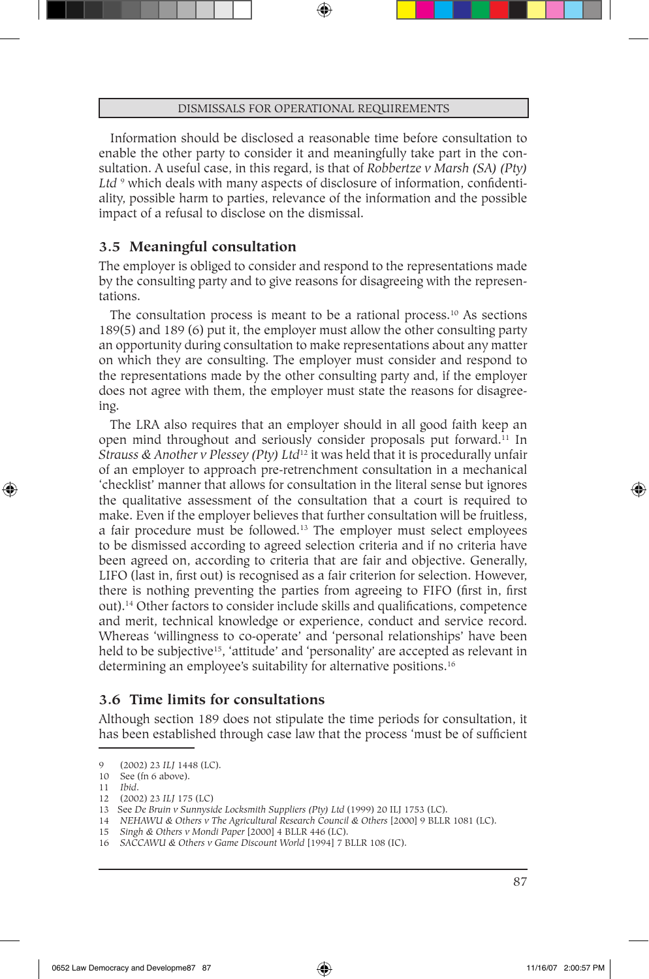Information should be disclosed a reasonable time before consultation to enable the other party to consider it and meaningfully take part in the consultation. A useful case, in this regard, is that of *Robbertze v Marsh (SA) (Pty)*  Ltd <sup>9</sup> which deals with many aspects of disclosure of information, confidentiality, possible harm to parties, relevance of the information and the possible impact of a refusal to disclose on the dismissal.

# **3.5 Meaningful consultation**

The employer is obliged to consider and respond to the representations made by the consulting party and to give reasons for disagreeing with the representations.

The consultation process is meant to be a rational process.<sup>10</sup> As sections 189(5) and 189 (6) put it, the employer must allow the other consulting party an opportunity during consultation to make representations about any matter on which they are consulting. The employer must consider and respond to the representations made by the other consulting party and, if the employer does not agree with them, the employer must state the reasons for disagreeing.

The LRA also requires that an employer should in all good faith keep an open mind throughout and seriously consider proposals put forward.11 In *Strauss & Another v Plessey (Pty) Ltd*12 it was held that it is procedurally unfair of an employer to approach pre-retrenchment consultation in a mechanical 'checklist' manner that allows for consultation in the literal sense but ignores the qualitative assessment of the consultation that a court is required to make. Even if the employer believes that further consultation will be fruitless, a fair procedure must be followed.13 The employer must select employees to be dismissed according to agreed selection criteria and if no criteria have been agreed on, according to criteria that are fair and objective. Generally, LIFO (last in, first out) is recognised as a fair criterion for selection. However, there is nothing preventing the parties from agreeing to FIFO (first in, first out).14 Other factors to consider include skills and qualifications, competence and merit, technical knowledge or experience, conduct and service record. Whereas 'willingness to co-operate' and 'personal relationships' have been held to be subjective<sup>15</sup>, 'attitude' and 'personality' are accepted as relevant in determining an employee's suitability for alternative positions.<sup>16</sup>

# **3.6 Time limits for consultations**

Although section 189 does not stipulate the time periods for consultation, it has been established through case law that the process 'must be of sufficient

⊕

15 *Singh & Others v Mondi Paper* [2000] 4 BLLR 446 (LC).

<sup>9 (2002) 23</sup> *ILJ* 1448 (LC).

<sup>10</sup> See (fn 6 above).

<sup>11</sup> *Ibid*.

<sup>12 (2002) 23</sup> *ILJ* 175 (LC)

<sup>13</sup> See *De Bruin v Sunnyside Locksmith Suppliers (Pty) Ltd* (1999) 20 ILJ 1753 (LC).

<sup>14</sup> *NEHAWU & Others v The Agricultural Research Council & Others* [2000] 9 BLLR 1081 (LC).

<sup>16</sup> *SACCAWU & Others v Game Discount World* [1994] 7 BLLR 108 (IC).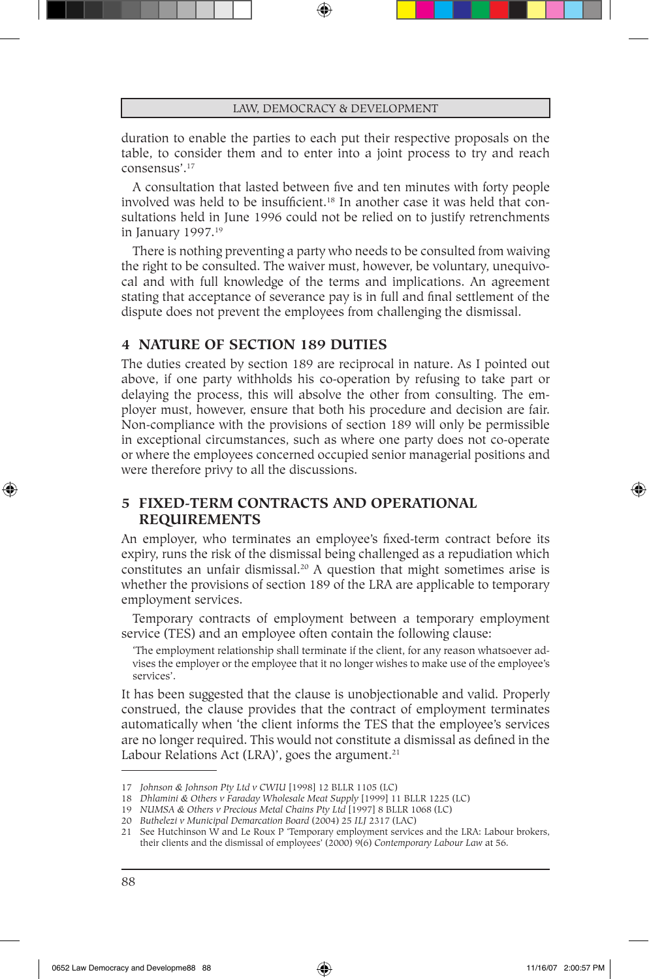duration to enable the parties to each put their respective proposals on the table, to consider them and to enter into a joint process to try and reach consensus'.17

A consultation that lasted between five and ten minutes with forty people involved was held to be insufficient.<sup>18</sup> In another case it was held that consultations held in June 1996 could not be relied on to justify retrenchments in January 1997.19

There is nothing preventing a party who needs to be consulted from waiving the right to be consulted. The waiver must, however, be voluntary, unequivocal and with full knowledge of the terms and implications. An agreement stating that acceptance of severance pay is in full and final settlement of the dispute does not prevent the employees from challenging the dismissal.

# **4 NATURE OF SECTION 189 DUTIES**

The duties created by section 189 are reciprocal in nature. As I pointed out above, if one party withholds his co-operation by refusing to take part or delaying the process, this will absolve the other from consulting. The employer must, however, ensure that both his procedure and decision are fair. Non-compliance with the provisions of section 189 will only be permissible in exceptional circumstances, such as where one party does not co-operate or where the employees concerned occupied senior managerial positions and were therefore privy to all the discussions.

# **5 FIXED-TERM CONTRACTS AND OPERATIONAL REQUIREMENTS**

An employer, who terminates an employee's fixed-term contract before its expiry, runs the risk of the dismissal being challenged as a repudiation which constitutes an unfair dismissal.<sup>20</sup> A question that might sometimes arise is whether the provisions of section 189 of the LRA are applicable to temporary employment services.

Temporary contracts of employment between a temporary employment service (TES) and an employee often contain the following clause:

'The employment relationship shall terminate if the client, for any reason whatsoever advises the employer or the employee that it no longer wishes to make use of the employee's services'.

It has been suggested that the clause is unobjectionable and valid. Properly construed, the clause provides that the contract of employment terminates automatically when 'the client informs the TES that the employee's services are no longer required. This would not constitute a dismissal as defined in the Labour Relations Act (LRA)', goes the argument. $21$ 

⊕

<sup>17</sup> *Johnson & Johnson Pty Ltd v CWIU* [1998] 12 BLLR 1105 (LC)

<sup>18</sup> *Dhlamini & Others v Faraday Wholesale Meat Supply* [1999] 11 BLLR 1225 (LC)

<sup>19</sup> *NUMSA & Others v Precious Metal Chains Pty Ltd* [1997] 8 BLLR 1068 (LC)

<sup>20</sup> *Buthelezi v Municipal Demarcation Board* (2004) 25 *ILJ* 2317 (LAC)

<sup>21</sup> See Hutchinson W and Le Roux P 'Temporary employment services and the LRA: Labour brokers, their clients and the dismissal of employees' (2000) 9(6) *Contemporary Labour Law* at 56.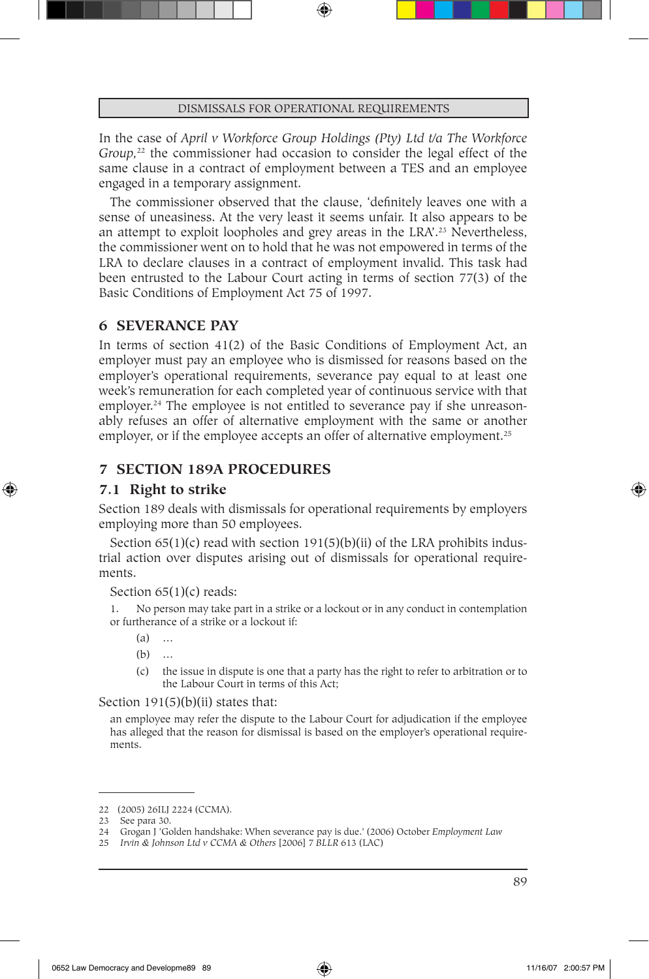In the case of *April v Workforce Group Holdings (Pty) Ltd t/a The Workforce Group*<sup>22</sup> the commissioner had occasion to consider the legal effect of the same clause in a contract of employment between a TES and an employee engaged in a temporary assignment.

The commissioner observed that the clause, 'definitely leaves one with a sense of uneasiness. At the very least it seems unfair. It also appears to be an attempt to exploit loopholes and grey areas in the LRA'.23 Nevertheless, the commissioner went on to hold that he was not empowered in terms of the LRA to declare clauses in a contract of employment invalid. This task had been entrusted to the Labour Court acting in terms of section 77(3) of the Basic Conditions of Employment Act 75 of 1997.

### **6 SEVERANCE PAY**

In terms of section 41(2) of the Basic Conditions of Employment Act, an employer must pay an employee who is dismissed for reasons based on the employer's operational requirements, severance pay equal to at least one week's remuneration for each completed year of continuous service with that employer.<sup>24</sup> The employee is not entitled to severance pay if she unreasonably refuses an offer of alternative employment with the same or another employer, or if the employee accepts an offer of alternative employment.<sup>25</sup>

### **7 SECTION 189A PROCEDURES**

### **7.1 Right to strike**

⊕

Section 189 deals with dismissals for operational requirements by employers employing more than 50 employees.

Section  $65(1)(c)$  read with section  $191(5)(b)(ii)$  of the LRA prohibits industrial action over disputes arising out of dismissals for operational requirements.

#### Section 65(1)(c) reads:

1. No person may take part in a strike or a lockout or in any conduct in contemplation or furtherance of a strike or a lockout if:

 $(a)$ 

- (b) …
- (c) the issue in dispute is one that a party has the right to refer to arbitration or to the Labour Court in terms of this Act;

#### Section  $191(5)(b)(ii)$  states that:

an employee may refer the dispute to the Labour Court for adjudication if the employee has alleged that the reason for dismissal is based on the employer's operational requirements.

<sup>22</sup> (2005) 26ILJ 2224 (CCMA).

<sup>23</sup> See para 30.

<sup>24</sup> Grogan J 'Golden handshake: When severance pay is due.' (2006) October *Employment Law*

<sup>25</sup> *Irvin & Johnson Ltd v CCMA & Others* [2006] 7 *BLLR* 613 (LAC)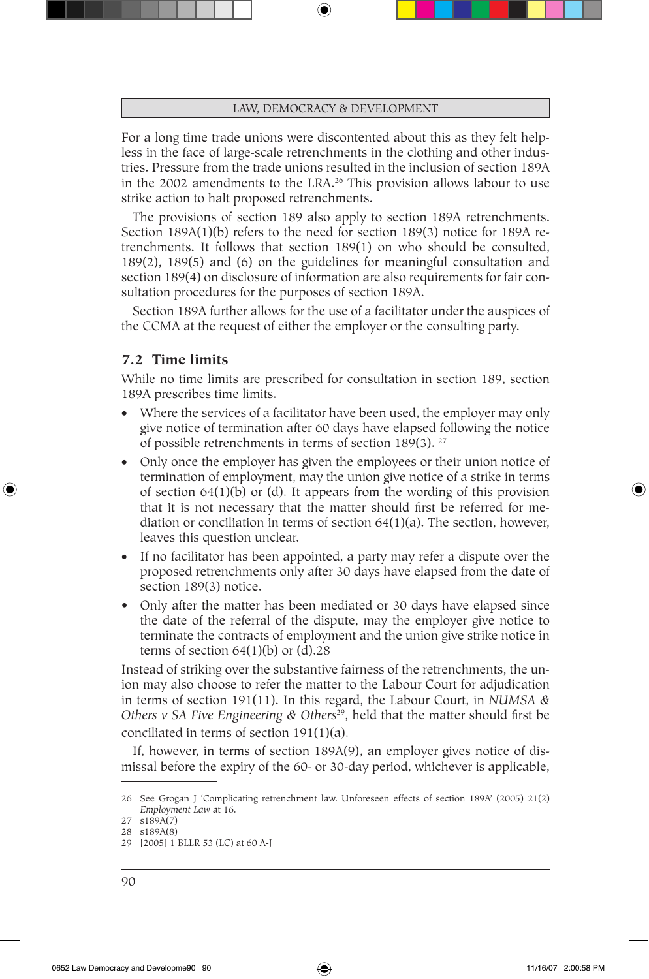For a long time trade unions were discontented about this as they felt helpless in the face of large-scale retrenchments in the clothing and other industries. Pressure from the trade unions resulted in the inclusion of section 189A in the 2002 amendments to the LRA.26 This provision allows labour to use strike action to halt proposed retrenchments.

The provisions of section 189 also apply to section 189A retrenchments. Section 189A(1)(b) refers to the need for section 189(3) notice for 189A retrenchments. It follows that section 189(1) on who should be consulted, 189(2), 189(5) and (6) on the guidelines for meaningful consultation and section 189(4) on disclosure of information are also requirements for fair consultation procedures for the purposes of section 189A.

Section 189A further allows for the use of a facilitator under the auspices of the CCMA at the request of either the employer or the consulting party.

### **7.2 Time limits**

⊕

While no time limits are prescribed for consultation in section 189, section 189A prescribes time limits.

- Where the services of a facilitator have been used, the employer may only give notice of termination after 60 days have elapsed following the notice of possible retrenchments in terms of section 189(3). 27
- Only once the employer has given the employees or their union notice of termination of employment, may the union give notice of a strike in terms of section 64(1)(b) or (d). It appears from the wording of this provision that it is not necessary that the matter should first be referred for mediation or conciliation in terms of section  $64(1)(a)$ . The section, however, leaves this question unclear.
- If no facilitator has been appointed, a party may refer a dispute over the proposed retrenchments only after 30 days have elapsed from the date of section 189(3) notice.
- Only after the matter has been mediated or 30 days have elapsed since the date of the referral of the dispute, may the employer give notice to terminate the contracts of employment and the union give strike notice in terms of section  $64(1)(b)$  or  $(d).28$

Instead of striking over the substantive fairness of the retrenchments, the union may also choose to refer the matter to the Labour Court for adjudication in terms of section 191(11). In this regard, the Labour Court, in *NUMSA & Others v SA Five Engineering & Others*29, held that the matter should first be conciliated in terms of section 191(1)(a).

If, however, in terms of section 189A(9), an employer gives notice of dismissal before the expiry of the 60- or 30-day period, whichever is applicable,

<sup>26</sup> See Grogan J 'Complicating retrenchment law. Unforeseen effects of section 189A' (2005) 21(2) *Employment Law* at 16.

<sup>27</sup> s189A(7) 28 s189A(8)

<sup>29</sup> [2005] 1 BLLR 53 (LC) at 60 A-J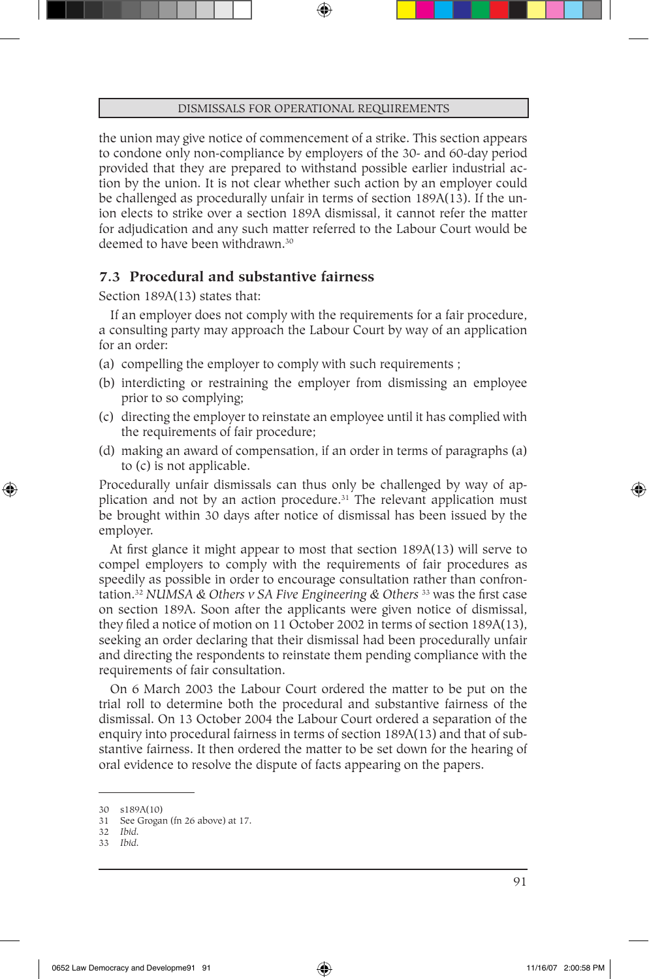the union may give notice of commencement of a strike. This section appears to condone only non-compliance by employers of the 30- and 60-day period provided that they are prepared to withstand possible earlier industrial action by the union. It is not clear whether such action by an employer could be challenged as procedurally unfair in terms of section 189A(13). If the union elects to strike over a section 189A dismissal, it cannot refer the matter for adjudication and any such matter referred to the Labour Court would be deemed to have been withdrawn.<sup>30</sup>

# **7.3 Procedural and substantive fairness**

Section 189A(13) states that:

If an employer does not comply with the requirements for a fair procedure, a consulting party may approach the Labour Court by way of an application for an order:

- (a) compelling the employer to comply with such requirements ;
- (b) interdicting or restraining the employer from dismissing an employee prior to so complying;
- (c) directing the employer to reinstate an employee until it has complied with the requirements of fair procedure;
- (d) making an award of compensation, if an order in terms of paragraphs (a) to (c) is not applicable.

Procedurally unfair dismissals can thus only be challenged by way of application and not by an action procedure.<sup>31</sup> The relevant application must be brought within 30 days after notice of dismissal has been issued by the employer.

At first glance it might appear to most that section 189A(13) will serve to compel employers to comply with the requirements of fair procedures as speedily as possible in order to encourage consultation rather than confrontation.32 *NUMSA & Others v SA Five Engineering & Others* 33 was the first case on section 189A. Soon after the applicants were given notice of dismissal, they filed a notice of motion on 11 October 2002 in terms of section 189A(13), seeking an order declaring that their dismissal had been procedurally unfair and directing the respondents to reinstate them pending compliance with the requirements of fair consultation.

On 6 March 2003 the Labour Court ordered the matter to be put on the trial roll to determine both the procedural and substantive fairness of the dismissal. On 13 October 2004 the Labour Court ordered a separation of the enquiry into procedural fairness in terms of section 189A(13) and that of substantive fairness. It then ordered the matter to be set down for the hearing of oral evidence to resolve the dispute of facts appearing on the papers.

⊕

<sup>30</sup> s189A(10)

<sup>31</sup> See Grogan (fn 26 above) at 17.

<sup>32</sup> *Ibid.*

<sup>33</sup> *Ibid.*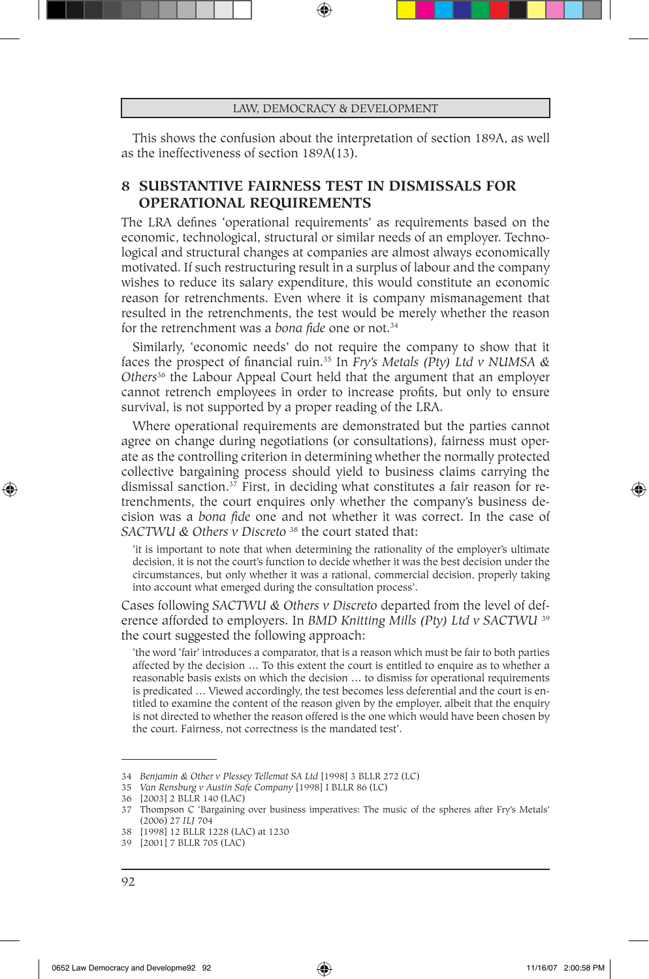This shows the confusion about the interpretation of section 189A, as well as the ineffectiveness of section 189A(13).

# **8 SUBSTANTIVE FAIRNESS TEST IN DISMISSALS FOR OPERATIONAL REQUIREMENTS**

The LRA defines 'operational requirements' as requirements based on the economic, technological, structural or similar needs of an employer. Technological and structural changes at companies are almost always economically motivated. If such restructuring result in a surplus of labour and the company wishes to reduce its salary expenditure, this would constitute an economic reason for retrenchments. Even where it is company mismanagement that resulted in the retrenchments, the test would be merely whether the reason for the retrenchment was a *bona fide* one or not.34

Similarly, 'economic needs' do not require the company to show that it faces the prospect of financial ruin.35 In *Fry's Metals (Pty) Ltd v NUMSA & Others*36 the Labour Appeal Court held that the argument that an employer cannot retrench employees in order to increase profits, but only to ensure survival, is not supported by a proper reading of the LRA.

Where operational requirements are demonstrated but the parties cannot agree on change during negotiations (or consultations), fairness must operate as the controlling criterion in determining whether the normally protected collective bargaining process should yield to business claims carrying the dismissal sanction.37 First, in deciding what constitutes a fair reason for retrenchments, the court enquires only whether the company's business decision was a *bona fide* one and not whether it was correct. In the case of *SACTWU & Others v Discreto* 38 the court stated that:

'it is important to note that when determining the rationality of the employer's ultimate decision, it is not the court's function to decide whether it was the best decision under the circumstances, but only whether it was a rational, commercial decision, properly taking into account what emerged during the consultation process'.

Cases following *SACTWU & Others v Discreto* departed from the level of deference afforded to employers. In *BMD Knitting Mills (Pty) Ltd v SACTWU* <sup>39</sup> the court suggested the following approach:

'the word 'fair' introduces a comparator, that is a reason which must be fair to both parties affected by the decision … To this extent the court is entitled to enquire as to whether a reasonable basis exists on which the decision … to dismiss for operational requirements is predicated … Viewed accordingly, the test becomes less deferential and the court is entitled to examine the content of the reason given by the employer, albeit that the enquiry is not directed to whether the reason offered is the one which would have been chosen by the court. Fairness, not correctness is the mandated test'.

⊕

<sup>34</sup> *Benjamin & Other v Plessey Tellemat SA Ltd* [1998] 3 BLLR 272 (LC)

<sup>35</sup> *Van Rensburg v Austin Safe Company* [1998] I BLLR 86 (LC)

<sup>36</sup> [2003] 2 BLLR 140 (LAC)

<sup>37</sup> Thompson C 'Bargaining over business imperatives: The music of the spheres after Fry's Metals' (2006) 27 *ILJ* 704

<sup>38</sup> [1998] 12 BLLR 1228 (LAC) at 1230

<sup>39</sup> [2001] 7 BLLR 705 (LAC)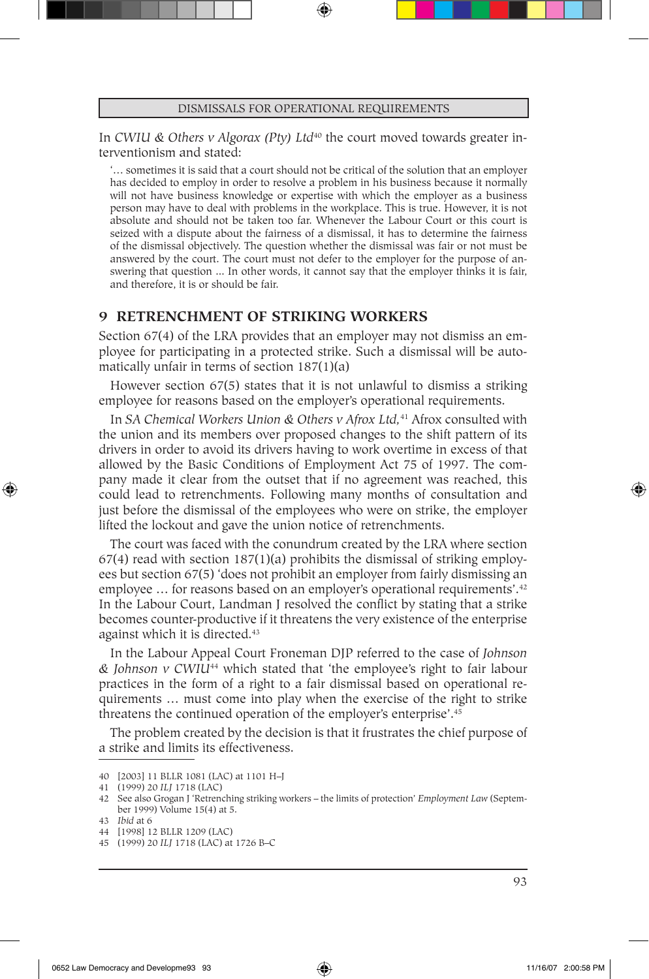In *CWIU & Others v Algorax (Pty) Ltd<sup>40</sup> the court moved towards greater in*terventionism and stated:

'… sometimes it is said that a court should not be critical of the solution that an employer has decided to employ in order to resolve a problem in his business because it normally will not have business knowledge or expertise with which the employer as a business person may have to deal with problems in the workplace. This is true. However, it is not absolute and should not be taken too far. Whenever the Labour Court or this court is seized with a dispute about the fairness of a dismissal, it has to determine the fairness of the dismissal objectively. The question whether the dismissal was fair or not must be answered by the court. The court must not defer to the employer for the purpose of answering that question ... In other words, it cannot say that the employer thinks it is fair, and therefore, it is or should be fair.

# **9 RETRENCHMENT OF STRIKING WORKERS**

Section 67(4) of the LRA provides that an employer may not dismiss an employee for participating in a protected strike. Such a dismissal will be automatically unfair in terms of section 187(1)(a)

However section 67(5) states that it is not unlawful to dismiss a striking employee for reasons based on the employer's operational requirements.

In *SA Chemical Workers Union & Others v Afrox Ltd,*41 Afrox consulted with the union and its members over proposed changes to the shift pattern of its drivers in order to avoid its drivers having to work overtime in excess of that allowed by the Basic Conditions of Employment Act 75 of 1997. The company made it clear from the outset that if no agreement was reached, this could lead to retrenchments. Following many months of consultation and just before the dismissal of the employees who were on strike, the employer lifted the lockout and gave the union notice of retrenchments.

The court was faced with the conundrum created by the LRA where section  $67(4)$  read with section  $187(1)(a)$  prohibits the dismissal of striking employees but section 67(5) 'does not prohibit an employer from fairly dismissing an employee ... for reasons based on an employer's operational requirements'.<sup>42</sup> In the Labour Court, Landman J resolved the conflict by stating that a strike becomes counter-productive if it threatens the very existence of the enterprise against which it is directed.<sup>43</sup>

In the Labour Appeal Court Froneman DJP referred to the case of *Johnson & Johnson v CWIU*<sup>44</sup> which stated that 'the employee's right to fair labour practices in the form of a right to a fair dismissal based on operational requirements … must come into play when the exercise of the right to strike threatens the continued operation of the employer's enterprise'.45

The problem created by the decision is that it frustrates the chief purpose of a strike and limits its effectiveness.

⊕

<sup>40</sup> [2003] 11 BLLR 1081 (LAC) at 1101 H–J

<sup>41</sup> (1999) 20 *ILJ* 1718 (LAC)

<sup>42</sup> See also Grogan J 'Retrenching striking workers – the limits of protection' *Employment Law* (September 1999) Volume 15(4) at 5.

<sup>43</sup> *Ibid* at 6

<sup>44</sup> [1998] 12 BLLR 1209 (LAC)

<sup>45</sup> (1999) 20 *ILJ* 1718 (LAC) at 1726 B–C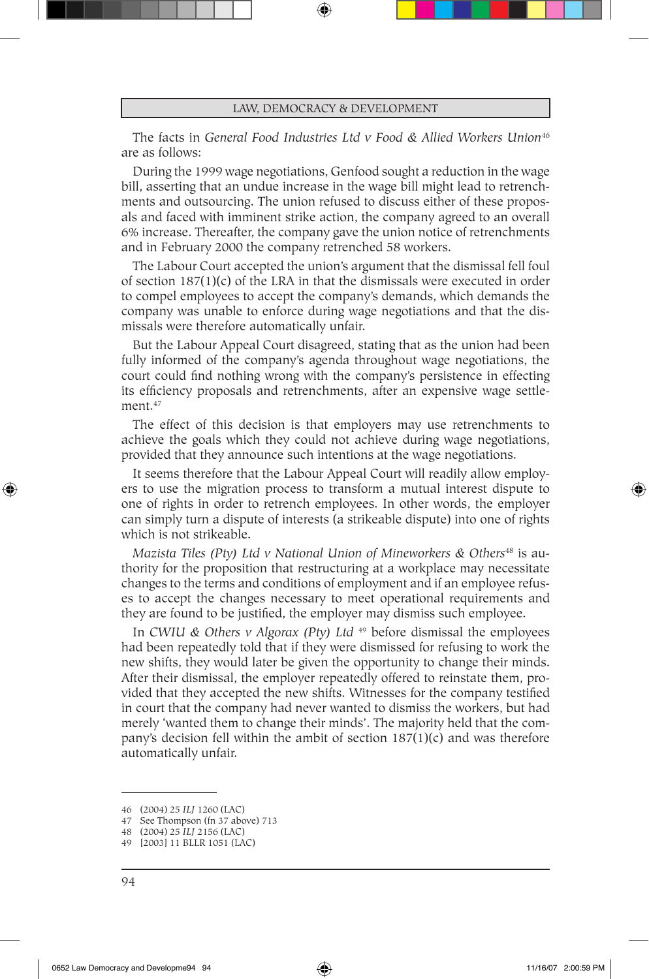The facts in *General Food Industries Ltd v Food & Allied Workers Union<sup>46</sup>* are as follows:

During the 1999 wage negotiations, Genfood sought a reduction in the wage bill, asserting that an undue increase in the wage bill might lead to retrenchments and outsourcing. The union refused to discuss either of these proposals and faced with imminent strike action, the company agreed to an overall 6% increase. Thereafter, the company gave the union notice of retrenchments and in February 2000 the company retrenched 58 workers.

The Labour Court accepted the union's argument that the dismissal fell foul of section 187(1)(c) of the LRA in that the dismissals were executed in order to compel employees to accept the company's demands, which demands the company was unable to enforce during wage negotiations and that the dismissals were therefore automatically unfair.

But the Labour Appeal Court disagreed, stating that as the union had been fully informed of the company's agenda throughout wage negotiations, the court could find nothing wrong with the company's persistence in effecting its efficiency proposals and retrenchments, after an expensive wage settlement.<sup>47</sup>

The effect of this decision is that employers may use retrenchments to achieve the goals which they could not achieve during wage negotiations, provided that they announce such intentions at the wage negotiations.

It seems therefore that the Labour Appeal Court will readily allow employers to use the migration process to transform a mutual interest dispute to one of rights in order to retrench employees. In other words, the employer can simply turn a dispute of interests (a strikeable dispute) into one of rights which is not strikeable.

*Mazista Tiles (Pty) Ltd v National Union of Mineworkers & Others<sup>48</sup> is au*thority for the proposition that restructuring at a workplace may necessitate changes to the terms and conditions of employment and if an employee refuses to accept the changes necessary to meet operational requirements and they are found to be justified, the employer may dismiss such employee.

In *CWIU & Others v Algorax (Pty) Ltd* 49 before dismissal the employees had been repeatedly told that if they were dismissed for refusing to work the new shifts, they would later be given the opportunity to change their minds. After their dismissal, the employer repeatedly offered to reinstate them, provided that they accepted the new shifts. Witnesses for the company testified in court that the company had never wanted to dismiss the workers, but had merely 'wanted them to change their minds'. The majority held that the company's decision fell within the ambit of section  $187(1)(c)$  and was therefore automatically unfair.

⊕

<sup>46</sup> (2004) 25 *ILJ* 1260 (LAC)

<sup>47</sup> See Thompson (fn 37 above) 713

<sup>48</sup> (2004) 25 *ILJ* 2156 (LAC)

<sup>49</sup> [2003] 11 BLLR 1051 (LAC)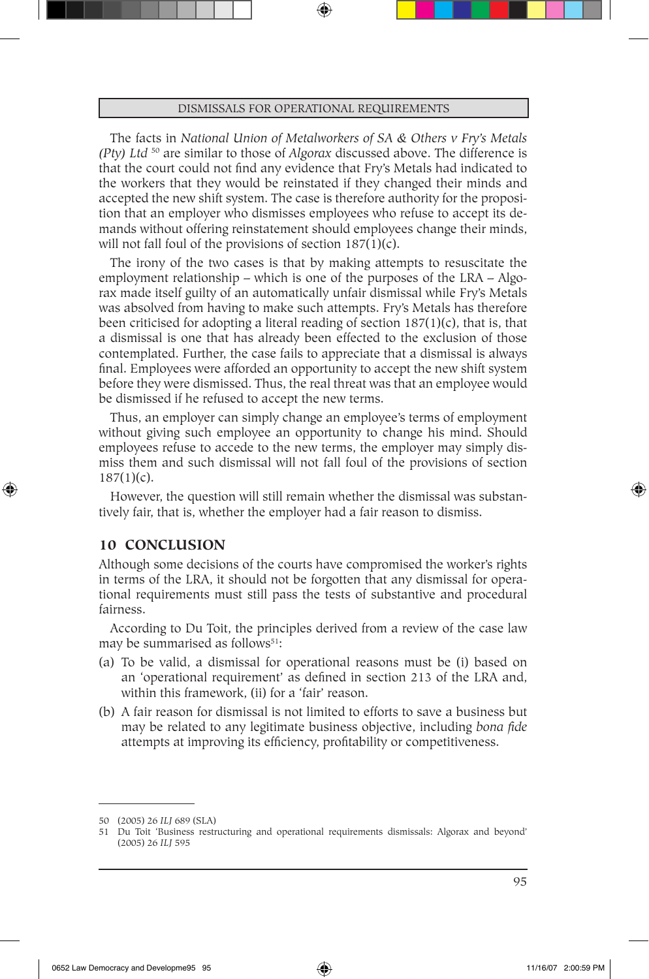The facts in *National Union of Metalworkers of SA & Others v Fry's Metals (Pty) Ltd* 50 are similar to those of *Algorax* discussed above. The difference is that the court could not find any evidence that Fry's Metals had indicated to the workers that they would be reinstated if they changed their minds and accepted the new shift system. The case is therefore authority for the proposition that an employer who dismisses employees who refuse to accept its demands without offering reinstatement should employees change their minds, will not fall foul of the provisions of section  $187(1)(c)$ .

The irony of the two cases is that by making attempts to resuscitate the employment relationship – which is one of the purposes of the LRA – Algorax made itself guilty of an automatically unfair dismissal while Fry's Metals was absolved from having to make such attempts. Fry's Metals has therefore been criticised for adopting a literal reading of section  $187(1)(c)$ , that is, that a dismissal is one that has already been effected to the exclusion of those contemplated. Further, the case fails to appreciate that a dismissal is always final. Employees were afforded an opportunity to accept the new shift system before they were dismissed. Thus, the real threat was that an employee would be dismissed if he refused to accept the new terms.

Thus, an employer can simply change an employee's terms of employment without giving such employee an opportunity to change his mind. Should employees refuse to accede to the new terms, the employer may simply dismiss them and such dismissal will not fall foul of the provisions of section 187(1)(c).

However, the question will still remain whether the dismissal was substantively fair, that is, whether the employer had a fair reason to dismiss.

### **10 CONCLUSION**

⊕

Although some decisions of the courts have compromised the worker's rights in terms of the LRA, it should not be forgotten that any dismissal for operational requirements must still pass the tests of substantive and procedural fairness.

According to Du Toit, the principles derived from a review of the case law may be summarised as follows<sup>51</sup>:

- (a) To be valid, a dismissal for operational reasons must be (i) based on an 'operational requirement' as defined in section 213 of the LRA and, within this framework, (ii) for a 'fair' reason.
- (b) A fair reason for dismissal is not limited to efforts to save a business but may be related to any legitimate business objective, including *bona fide* attempts at improving its efficiency, profitability or competitiveness.

<sup>50</sup> (2005) 26 *ILJ* 689 (SLA)

<sup>51</sup> Du Toit 'Business restructuring and operational requirements dismissals: Algorax and beyond' (2005) 26 *ILJ* 595